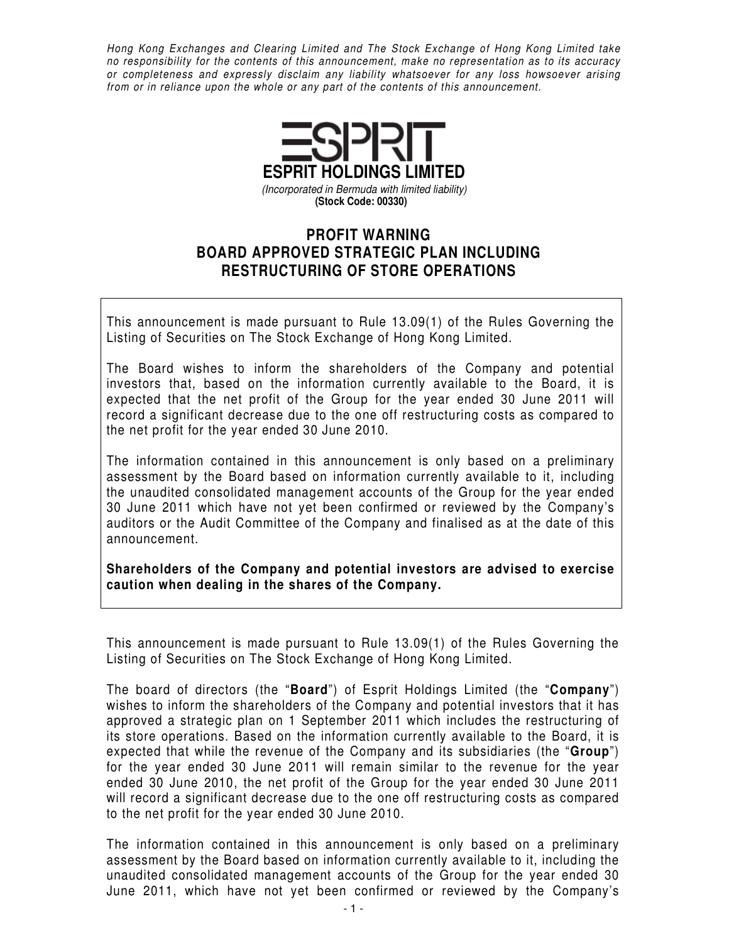Hong Kong Exchanges and Clearing Limited and The Stock Exchange of Hong Kong Limited take no responsibility for the contents of this announcement, make no representation as to its accuracy or completeness and expressly disclaim any liability whatsoever for any loss howsoever arising from or in reliance upon the whole or any part of the contents of this announcement.



## **PROFIT WARNING BOARD APPROVED STRATEGIC PLAN INCLUDING RESTRUCTURING OF STORE OPERATIONS**

This announcement is made pursuant to Rule 13.09(1) of the Rules Governing the Listing of Securities on The Stock Exchange of Hong Kong Limited.

The Board wishes to inform the shareholders of the Company and potential investors that, based on the information currently available to the Board, it is expected that the net profit of the Group for the year ended 30 June 2011 will record a significant decrease due to the one off restructuring costs as compared to the net profit for the year ended 30 June 2010.

The information contained in this announcement is only based on a preliminary assessment by the Board based on information currently available to it, including the unaudited consolidated management accounts of the Group for the year ended 30 June 2011 which have not yet been confirmed or reviewed by the Company's auditors or the Audit Committee of the Company and finalised as at the date of this announcement.

**Shareholders of the Company and potential investors are advised to exercise caution when dealing in the shares of the Company.** 

This announcement is made pursuant to Rule 13.09(1) of the Rules Governing the Listing of Securities on The Stock Exchange of Hong Kong Limited.

The board of directors (the "**Board**") of Esprit Holdings Limited (the "**Company**") wishes to inform the shareholders of the Company and potential investors that it has approved a strategic plan on 1 September 2011 which includes the restructuring of its store operations. Based on the information currently available to the Board, it is expected that while the revenue of the Company and its subsidiaries (the "**Group**") for the year ended 30 June 2011 will remain similar to the revenue for the year ended 30 June 2010, the net profit of the Group for the year ended 30 June 2011 will record a significant decrease due to the one off restructuring costs as compared to the net profit for the year ended 30 June 2010.

The information contained in this announcement is only based on a preliminary assessment by the Board based on information currently available to it, including the unaudited consolidated management accounts of the Group for the year ended 30 June 2011, which have not yet been confirmed or reviewed by the Company's